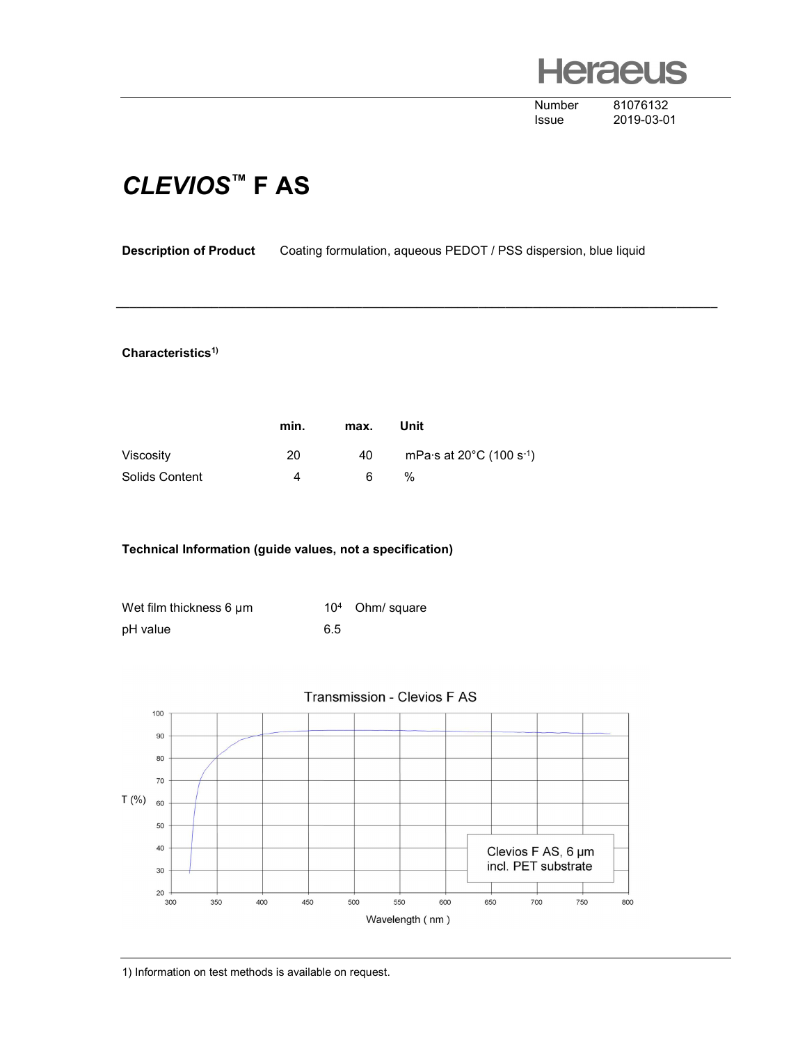# **Heraeus**

Number 81076132

Issue 2019-03-01

### CLEVIOS™ F AS

### Description of Product Coating formulation, aqueous PEDOT / PSS dispersion, blue liquid

\_\_\_\_\_\_\_\_\_\_\_\_\_\_\_\_\_\_\_\_\_\_\_\_\_\_\_\_\_\_\_\_\_\_\_\_\_\_\_\_\_\_\_\_\_\_\_\_\_\_\_\_\_\_\_\_\_\_\_\_\_\_\_\_\_\_\_\_\_\_\_\_\_\_\_\_\_\_\_\_\_\_\_\_\_\_\_\_

### Characteristics<sup>1)</sup>

|                | min. | max. | Unit                                            |
|----------------|------|------|-------------------------------------------------|
| Viscosity      | 20   | 40   | mPa·s at 20 $^{\circ}$ C (100 s <sup>-1</sup> ) |
| Solids Content | Δ    | հ    | $\frac{0}{0}$                                   |

#### Technical Information (guide values, not a specification)

| Wet film thickness 6 um |     | $104$ Ohm/ square |
|-------------------------|-----|-------------------|
| pH value                | 6.5 |                   |



1) Information on test methods is available on request.